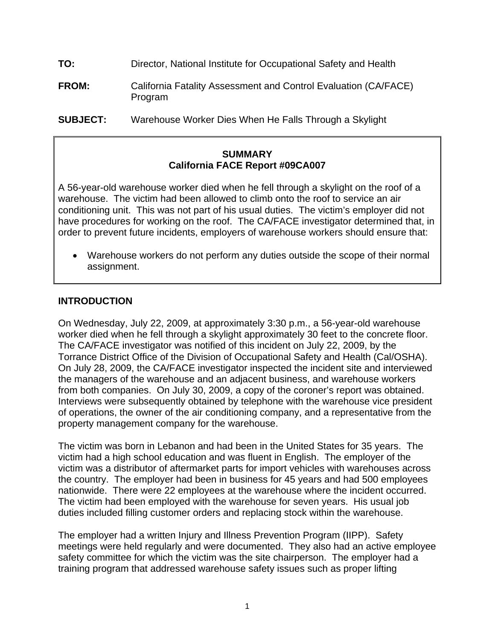- **TO:** Director, National Institute for Occupational Safety and Health
- **FROM:** California Fatality Assessment and Control Evaluation (CA/FACE) Program
- **SUBJECT:** Warehouse Worker Dies When He Falls Through a Skylight

#### **SUMMARY California FACE Report #09CA007**

A 56-year-old warehouse worker died when he fell through a skylight on the roof of a warehouse. The victim had been allowed to climb onto the roof to service an air conditioning unit. This was not part of his usual duties. The victim's employer did not have procedures for working on the roof. The CA/FACE investigator determined that, in order to prevent future incidents, employers of warehouse workers should ensure that:

 •Warehouse workers do not perform any duties outside the scope of their normal assignment.

### **INTRODUCTION**

On Wednesday, July 22, 2009, at approximately 3:30 p.m., a 56-year-old warehouse worker died when he fell through a skylight approximately 30 feet to the concrete floor. The CA/FACE investigator was notified of this incident on July 22, 2009, by the Torrance District Office of the Division of Occupational Safety and Health (Cal/OSHA). On July 28, 2009, the CA/FACE investigator inspected the incident site and interviewed the managers of the warehouse and an adjacent business, and warehouse workers from both companies. On July 30, 2009, a copy of the coroner's report was obtained. Interviews were subsequently obtained by telephone with the warehouse vice president of operations, the owner of the air conditioning company, and a representative from the property management company for the warehouse.

The victim was born in Lebanon and had been in the United States for 35 years. The victim had a high school education and was fluent in English. The employer of the victim was a distributor of aftermarket parts for import vehicles with warehouses across the country. The employer had been in business for 45 years and had 500 employees nationwide. There were 22 employees at the warehouse where the incident occurred. The victim had been employed with the warehouse for seven years. His usual job duties included filling customer orders and replacing stock within the warehouse.

The employer had a written Injury and Illness Prevention Program (IIPP). Safety meetings were held regularly and were documented. They also had an active employee safety committee for which the victim was the site chairperson. The employer had a training program that addressed warehouse safety issues such as proper lifting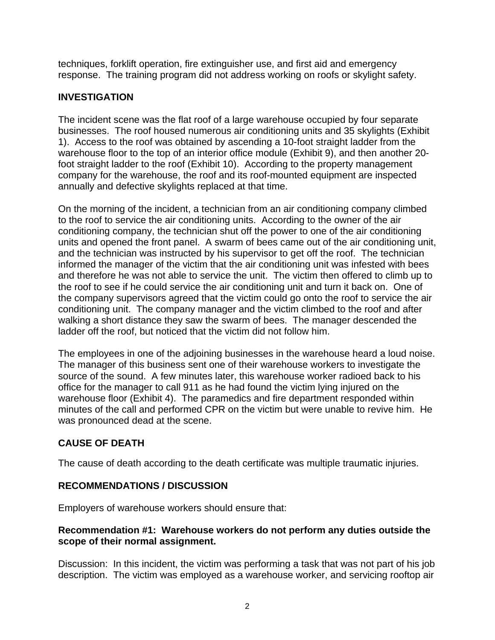techniques, forklift operation, fire extinguisher use, and first aid and emergency response. The training program did not address working on roofs or skylight safety.

## **INVESTIGATION**

The incident scene was the flat roof of a large warehouse occupied by four separate businesses. The roof housed numerous air conditioning units and 35 skylights (Exhibit 1). Access to the roof was obtained by ascending a 10-foot straight ladder from the warehouse floor to the top of an interior office module (Exhibit 9), and then another 20 foot straight ladder to the roof (Exhibit 10). According to the property management company for the warehouse, the roof and its roof-mounted equipment are inspected annually and defective skylights replaced at that time.

On the morning of the incident, a technician from an air conditioning company climbed to the roof to service the air conditioning units. According to the owner of the air conditioning company, the technician shut off the power to one of the air conditioning units and opened the front panel. A swarm of bees came out of the air conditioning unit, and the technician was instructed by his supervisor to get off the roof. The technician informed the manager of the victim that the air conditioning unit was infested with bees and therefore he was not able to service the unit. The victim then offered to climb up to the roof to see if he could service the air conditioning unit and turn it back on. One of the company supervisors agreed that the victim could go onto the roof to service the air conditioning unit. The company manager and the victim climbed to the roof and after walking a short distance they saw the swarm of bees. The manager descended the ladder off the roof, but noticed that the victim did not follow him.

The employees in one of the adjoining businesses in the warehouse heard a loud noise. The manager of this business sent one of their warehouse workers to investigate the source of the sound. A few minutes later, this warehouse worker radioed back to his office for the manager to call 911 as he had found the victim lying injured on the warehouse floor (Exhibit 4). The paramedics and fire department responded within minutes of the call and performed CPR on the victim but were unable to revive him. He was pronounced dead at the scene.

# **CAUSE OF DEATH**

The cause of death according to the death certificate was multiple traumatic injuries.

## **RECOMMENDATIONS / DISCUSSION**

Employers of warehouse workers should ensure that:

### **Recommendation #1: Warehouse workers do not perform any duties outside the scope of their normal assignment.**

 description. The victim was employed as a warehouse worker, and servicing rooftop air Discussion: In this incident, the victim was performing a task that was not part of his job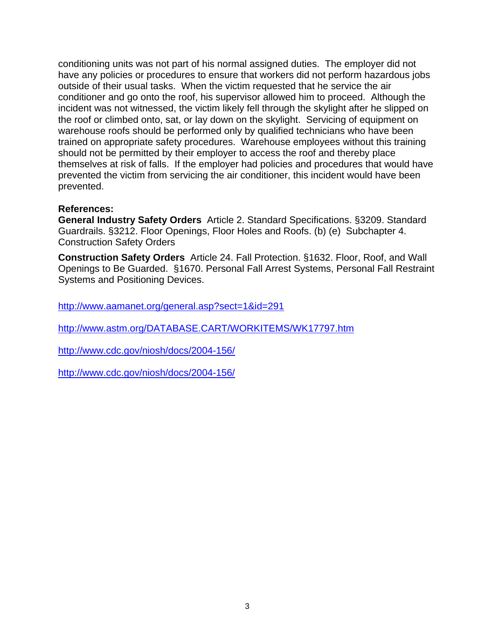conditioning units was not part of his normal assigned duties. The employer did not have any policies or procedures to ensure that workers did not perform hazardous jobs outside of their usual tasks. When the victim requested that he service the air conditioner and go onto the roof, his supervisor allowed him to proceed. Although the incident was not witnessed, the victim likely fell through the skylight after he slipped on the roof or climbed onto, sat, or lay down on the skylight. Servicing of equipment on warehouse roofs should be performed only by qualified technicians who have been trained on appropriate safety procedures. Warehouse employees without this training should not be permitted by their employer to access the roof and thereby place themselves at risk of falls. If the employer had policies and procedures that would have prevented the victim from servicing the air conditioner, this incident would have been prevented.

#### **References:**

**General Industry Safety Orders** Article 2. Standard Specifications. §3209. Standard Guardrails. §3212. Floor Openings, Floor Holes and Roofs. (b) (e) Subchapter 4. Construction Safety Orders

**Construction Safety Orders** Article 24. Fall Protection. §1632. Floor, Roof, and Wall Openings to Be Guarded. §1670. Personal Fall Arrest Systems, Personal Fall Restraint Systems and Positioning Devices.

http://www.aamanet.org/general.asp?sect=1&id=291

http://www.astm.org/DATABASE.CART/WORKITEMS/WK17797.htm

http://www.cdc.gov/niosh/docs/2004-156/

http://www.cdc.gov/niosh/docs/2004-156/ http://www.cdc.gov/niosh/docs/2004-156/<br>3<br>3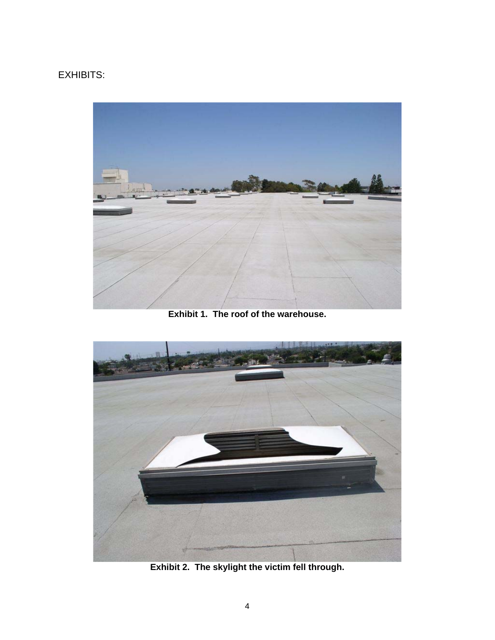# EXHIBITS:



**Exhibit 1. The roof of the warehouse.** 



**Exhibit 2. The skylight the victim fell through.**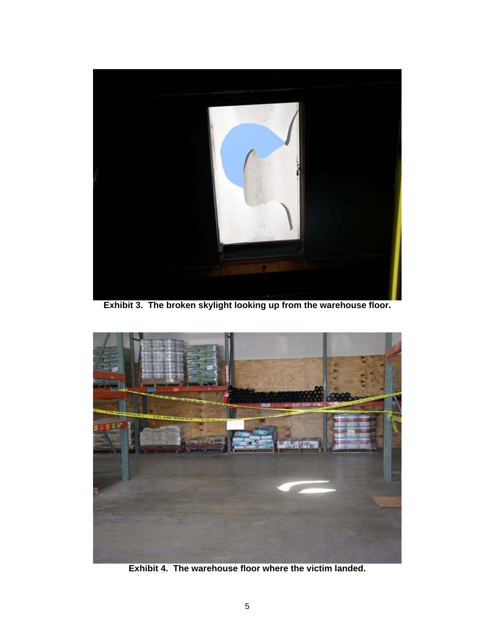

**Exhibit 3. The broken skylight looking up from the warehouse floor.** 



**Exhibit 4. The warehouse floor where the victim landed.**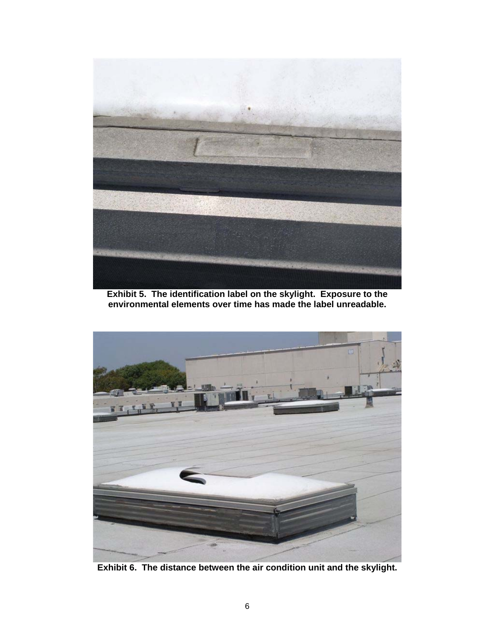

**Exhibit 5. The identification label on the skylight. Exposure to the environmental elements over time has made the label unreadable.** 



**Exhibit 6. The distance between the air condition unit and the skylight.**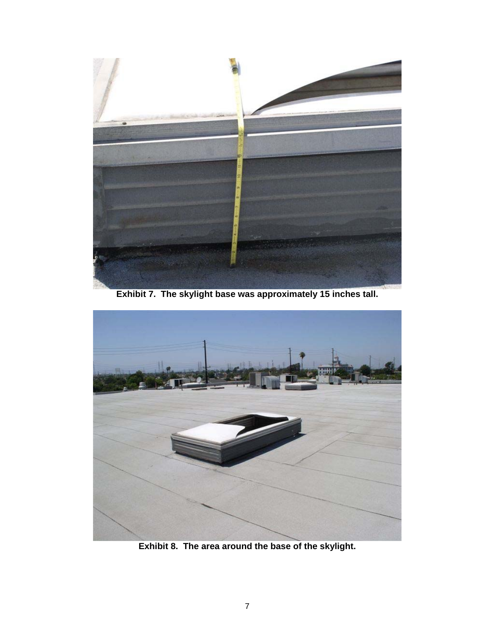

**Exhibit 7. The skylight base was approximately 15 inches tall.** 



**Exhibit 8. The area around the base of the skylight.**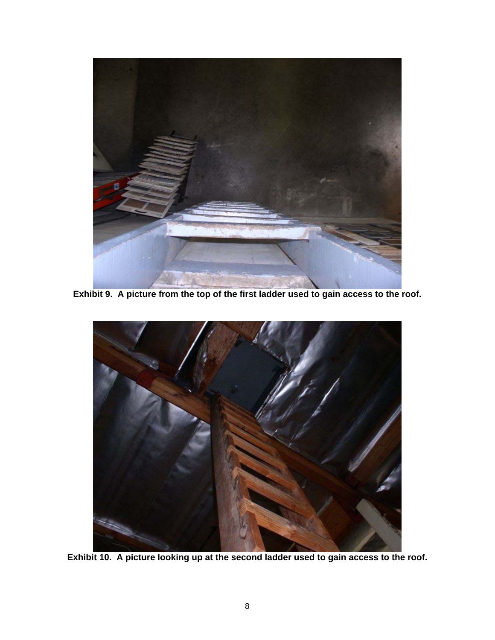

**Exhibit 9. A picture from the top of the first ladder used to gain access to the roof.** 



**Exhibit 10. A picture looking up at the second ladder used to gain access to the roof.**